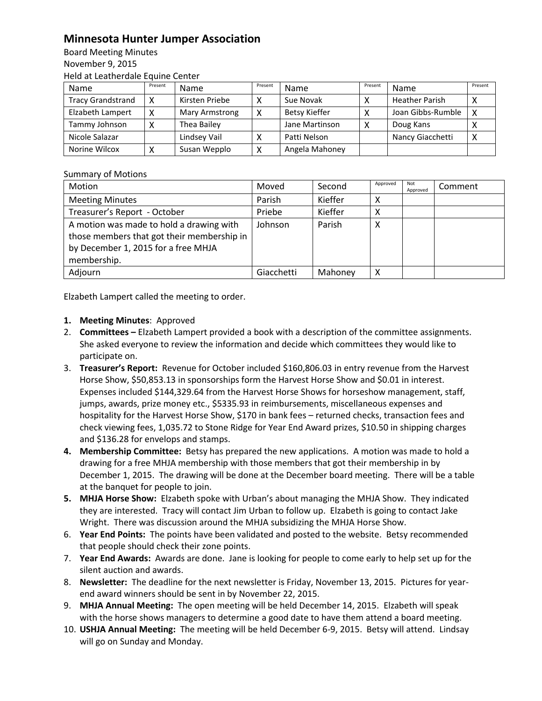## **Minnesota Hunter Jumper Association**

Board Meeting Minutes November 9, 2015 Held at Leatherdale Equine Center

| Name                     | Present | Name           | Present | <b>Name</b>          | Present      | Name                  | Present |
|--------------------------|---------|----------------|---------|----------------------|--------------|-----------------------|---------|
| <b>Tracy Grandstrand</b> |         | Kirsten Priebe |         | Sue Novak            |              | <b>Heather Parish</b> |         |
| Elzabeth Lampert         |         | Mary Armstrong | ν       | <b>Betsy Kieffer</b> |              | Joan Gibbs-Rumble     |         |
| Tammy Johnson            |         | Thea Bailey    |         | Jane Martinson       | $\checkmark$ | Doug Kans             |         |
| Nicole Salazar           |         | Lindsey Vail   |         | Patti Nelson         |              | Nancy Giacchetti      |         |
| Norine Wilcox            |         | Susan Wepplo   |         | Angela Mahoney       |              |                       |         |

## Summary of Motions

| Motion                                                                                                                                       | Moved      | Second  | Approved | Not<br>Approved | Comment |
|----------------------------------------------------------------------------------------------------------------------------------------------|------------|---------|----------|-----------------|---------|
| <b>Meeting Minutes</b>                                                                                                                       | Parish     | Kieffer | х        |                 |         |
| Treasurer's Report - October                                                                                                                 | Priebe     | Kieffer | х        |                 |         |
| A motion was made to hold a drawing with<br>those members that got their membership in<br>by December 1, 2015 for a free MHJA<br>membership. | Johnson    | Parish  | Χ        |                 |         |
| Adjourn                                                                                                                                      | Giacchetti | Mahoney | х        |                 |         |

Elzabeth Lampert called the meeting to order.

## **1. Meeting Minutes**: Approved

- 2. **Committees –** Elzabeth Lampert provided a book with a description of the committee assignments. She asked everyone to review the information and decide which committees they would like to participate on.
- 3. **Treasurer's Report:** Revenue for October included \$160,806.03 in entry revenue from the Harvest Horse Show, \$50,853.13 in sponsorships form the Harvest Horse Show and \$0.01 in interest. Expenses included \$144,329.64 from the Harvest Horse Shows for horseshow management, staff, jumps, awards, prize money etc., \$5335.93 in reimbursements, miscellaneous expenses and hospitality for the Harvest Horse Show, \$170 in bank fees – returned checks, transaction fees and check viewing fees, 1,035.72 to Stone Ridge for Year End Award prizes, \$10.50 in shipping charges and \$136.28 for envelops and stamps.
- **4. Membership Committee:** Betsy has prepared the new applications. A motion was made to hold a drawing for a free MHJA membership with those members that got their membership in by December 1, 2015. The drawing will be done at the December board meeting. There will be a table at the banquet for people to join.
- **5. MHJA Horse Show:** Elzabeth spoke with Urban's about managing the MHJA Show. They indicated they are interested. Tracy will contact Jim Urban to follow up. Elzabeth is going to contact Jake Wright. There was discussion around the MHJA subsidizing the MHJA Horse Show.
- 6. **Year End Points:** The points have been validated and posted to the website. Betsy recommended that people should check their zone points.
- 7. **Year End Awards:** Awards are done. Jane is looking for people to come early to help set up for the silent auction and awards.
- 8. **Newsletter:** The deadline for the next newsletter is Friday, November 13, 2015. Pictures for yearend award winners should be sent in by November 22, 2015.
- 9. **MHJA Annual Meeting:** The open meeting will be held December 14, 2015. Elzabeth will speak with the horse shows managers to determine a good date to have them attend a board meeting.
- 10. **USHJA Annual Meeting:** The meeting will be held December 6-9, 2015. Betsy will attend. Lindsay will go on Sunday and Monday.